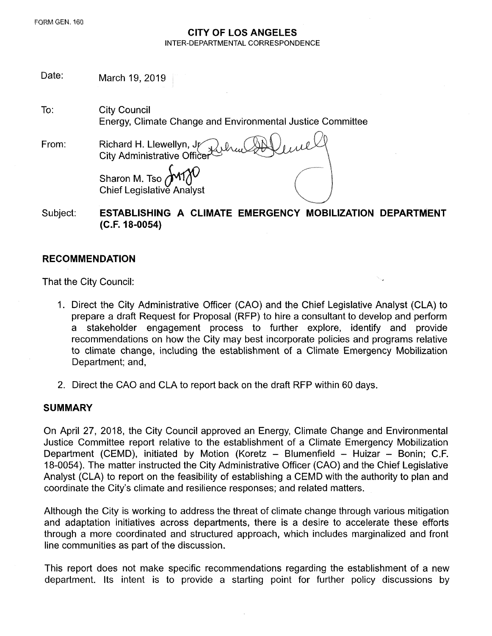#### **CITY OF LOS ANGELES** INTER-DEPARTMENTAL CORRESPONDENCE

Date: March 19, 2019

To: City Council Energy, Climate Change and Environmental Justice Committee

From: Richard H. Llewellyn, Jr City Administrative Officer

Sharon M. Tso Chief Legislative Analyst

Subject: **ESTABLISHING A CLIMATE EMERGENCY MOBILIZATION DEPARTMENT (C.F. 18-0054)**

## **RECOMMENDATION**

That the City Council:

- 1. Direct the City Administrative Officer (CAO) and the Chief Legislative Analyst (CLA) to prepare a draft Request for Proposal (RFP) to hire a consultant to develop and perform a stakeholder engagement process to further explore, identify and provide recommendations on how the City may best incorporate policies and programs relative to climate change, including the establishment of a Climate Emergency Mobilization Department; and,
- 2**.** Direct the CAO and CLA to report back on the draft RFP within 60 days.

### **SUMMARY**

On April 27, 2018, the City Council approved an Energy, Climate Change and Environmental Justice Committee report relative to the establishment of a Climate Emergency Mobilization Department (CEMD), initiated by Motion (Koretz - Blumenfield - Huizar - Bonin; C.F. 18-0054). The matter instructed the City Administrative Officer (CAO) and the Chief Legislative Analyst (CLA) to report on the feasibility of establishing a CEMD with the authority to plan and coordinate the City's climate and resilience responses; and related matters.

Although the City is working to address the threat of climate change through various mitigation and adaptation initiatives across departments, there is a desire to accelerate these efforts through a more coordinated and structured approach, which includes marginalized and front line communities as part of the discussion.

This report does not make specific recommendations regarding the establishment of a new department. Its intent is to provide a starting point for further policy discussions by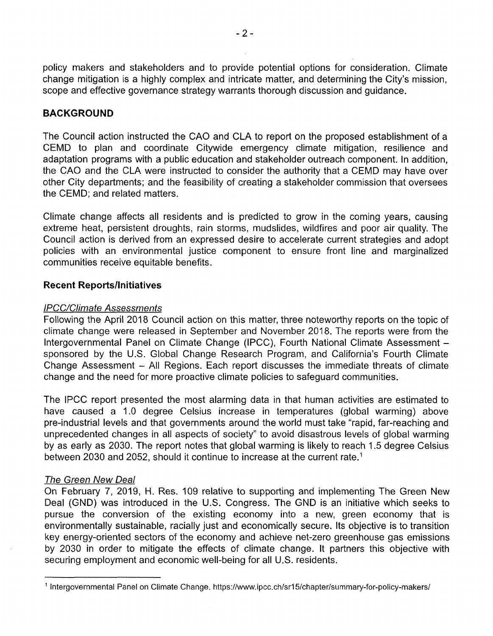policy makers and stakeholders and to provide potential options for consideration. Climate change mitigation is a highly complex and intricate matter, and determining the City's mission, scope and effective governance strategy warrants thorough discussion and guidance.

## **BACKGROUND**

The Council action instructed the CAO and CLA to report on the proposed establishment of a CEMD to plan and coordinate Citywide emergency climate mitigation, resilience and adaptation programs with a public education and stakeholder outreach component. In addition, the CAO and the CLA were instructed to consider the authority that a CEMD may have over other City departments; and the feasibility of creating a stakeholder commission that oversees the CEMD; and related matters.

Climate change affects all residents and is predicted to grow in the coming years, causing extreme heat, persistent droughts, rain storms, mudslides, wildfires and poor air quality. The Council action is derived from an expressed desire to accelerate current strategies and adopt policies with an environmental justice component to ensure front line and marginalized communities receive equitable benefits.

## **Recent Reports/Initiatives**

### *IPCC/Climate Assessments*

Following the April 2018 Council action on this matter, three noteworthy reports on the topic of climate change were released in September and November 2018. The reports were from the Intergovernmental Panel on Climate Change (IPCC), Fourth National Climate Assessment sponsored by the U.S. Global Change Research Program, and California's Fourth Climate Change Assessment - All Regions. Each report discusses the immediate threats of climate change and the need for more proactive climate policies to safeguard communities.

The IPCC report presented the most alarming data in that human activities are estimated to have caused a 1.0 degree Celsius increase in temperatures (global warming) above pre-industrial levels and that governments around the world must take "rapid, far-reaching and unprecedented changes in all aspects of society" to avoid disastrous levels of global warming by as early as 2030. The report notes that global warming is likely to reach 1.5 degree Celsius between 2030 and 2052, should it continue to increase at the current rate.<sup>1</sup>

## *The Green New Deal*

On February 7, 2019, H. Res. 109 relative to supporting and implementing The Green New Deal (GND) was introduced in the U.S. Congress. The GND is an initiative which seeks to pursue the conversion of the existing economy into a new, green economy that is environmentally sustainable, racially just and economically secure. Its objective is to transition key energy-oriented sectors of the economy and achieve net-zero greenhouse gas emissions by 2030 in order to mitigate the effects of climate change. It partners this objective with securing employment and economic well-being for all U.S. residents.

<sup>&</sup>lt;sup>1</sup> Intergovernmental Panel on Climate Change, <https://www.ipcc.ch/sr15/chapter/summary-for-policy-makers/>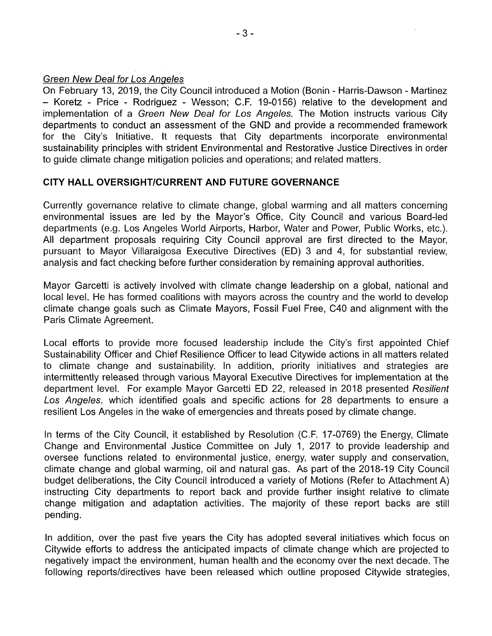### Green *New Deal for Los Angeles*

On February 13, 2019, the City Council introduced a Motion (Bonin - Harris-Dawson - Martinez - Koretz - Price - Rodriguez - Wesson; C.F, 19-0156) relative to the development and implementation of a *Green New Deal for Los Angeles.* The Motion instructs various City departments to conduct an assessment of the GND and provide a recommended framework for the City's Initiative. It requests that City departments incorporate environmental sustainability principles with strident Environmental and Restorative Justice Directives in order to guide climate change mitigation policies and operations; and related matters.

## **CITY HALL OVERSIGHT/CURRENT AND FUTURE GOVERNANCE**

Currently governance relative to climate change, global warming and all matters concerning environmental issues are led by the Mayor's Office, City Council and various Board-led departments (e.g. Los Angeles World Airports, Flarbor, Water and Power, Public Works, etc.). All department proposals requiring City Council approval are first directed to the Mayor, pursuant to Mayor Villaraigosa Executive Directives (ED) 3 and 4, for substantial review, analysis and fact checking before further consideration by remaining approval authorities.

Mayor Garcetti is actively involved with climate change leadership on a global, national and local level. He has formed coalitions with mayors across the country and the world to develop climate change goals such as Climate Mayors, Fossil Fuel Free, C40 and alignment with the Paris Climate Agreement.

Local efforts to provide more focused leadership include the City's first appointed Chief Sustainability Officer and Chief Resilience Officer to lead Citywide actions in all matters related to climate change and sustainability. In addition, priority initiatives and strategies are intermittently released through various Mayoral Executive Directives for implementation at the department level. For example Mayor Garcetti ED 22, released in 2018 presented *Resilient Los Angeles,* which identified goals and specific actions for 28 departments to ensure a resilient Los Angeles in the wake of emergencies and threats posed by climate change.

In terms of the City Council, it established by Resolution (C.F. 17-0769) the Energy, Climate Change and Environmental Justice Committee on July 1, 2017 to provide leadership and oversee functions related to environmental justice, energy, water supply and conservation, climate change and global warming, oil and natural gas. As part of the 2018-19 City Council budget deliberations, the City Council introduced a variety of Motions (Refer to Attachment A) instructing City departments to report back and provide further insight relative to climate change mitigation and adaptation activities. The majority of these report backs are still pending.

In addition, over the past five years the City has adopted several initiatives which focus on Citywide efforts to address the anticipated impacts of climate change which are projected to negatively impact the environment, human health and the economy over the next decade. The following reports/directives have been released which outline proposed Citywide strategies,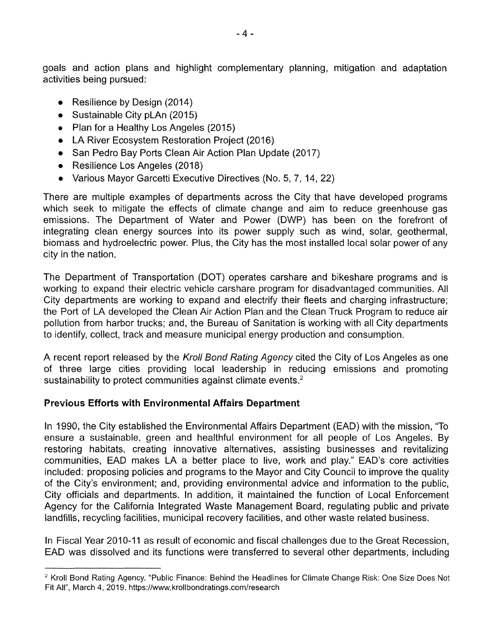goals and action plans and highlight complementary planning, mitigation and adaptation activities being pursued:

- Resilience by Design (2014)
- Sustainable City pLAn (2015)
- Plan for a Healthy Los Angeles (2015)
- LA River Ecosystem Restoration Project (2016)
- San Pedro Bay Ports Clean Air Action Plan Update (2017)
- Resilience Los Angeles (2018)
- Various Mayor Garcetti Executive Directives (No. 5, 7, 14, 22)

There are multiple examples of departments across the City that have developed programs which seek to mitigate the effects of climate change and aim to reduce greenhouse gas emissions. The Department of Water and Power (DWP) has been on the forefront of integrating clean energy sources into its power supply such as wind, solar, geothermal, biomass and hydroelectric power. Plus, the City has the most installed local solar power of any city in the nation.

The Department of Transportation (DOT) operates carshare and bikeshare programs and is working to expand their electric vehicle carshare program for disadvantaged communities. All City departments are working to expand and electrify their fleets and charging infrastructure; the Port of LA developed the Clean Air Action Plan and the Clean Truck Program to reduce air pollution from harbor trucks; and, the Bureau of Sanitation is working with all City departments to identify, collect, track and measure municipal energy production and consumption.

A recent report released by the *Kroll Bond Rating Agency* cited the City of Los Angeles as one of three large cities providing local leadership in reducing emissions and promoting sustainability to protect communities against climate events.<sup>2</sup>

# **Previous Efforts with Environmental Affairs Department**

In 1990, the City established the Environmental Affairs Department (EAD) with the mission, "To ensure a sustainable, green and healthful environment for all people of Los Angeles. By restoring habitats, creating innovative alternatives, assisting businesses and revitalizing communities, EAD makes LA a better place to live, work and play." EAD's core activities included: proposing policies and programs to the Mayor and City Council to improve the quality of the City's environment; and, providing environmental advice and information to the public, City officials and departments. In addition, it maintained the function of Local Enforcement Agency for the California Integrated Waste Management Board, regulating public and private landfills, recycling facilities, municipal recovery facilities, and other waste related business.

In Fiscal Year 2010-11 as result of economic and fiscal challenges due to the Great Recession, EAD was dissolved and its functions were transferred to several other departments, including

<sup>&</sup>lt;sup>2</sup> Kroll Bond Rating Agency. "Public Finance: Behind the Headlines for Climate Change Risk: One Size Does Not Fit All", March 4, 2019. <https://www.krollbondratings.com/research>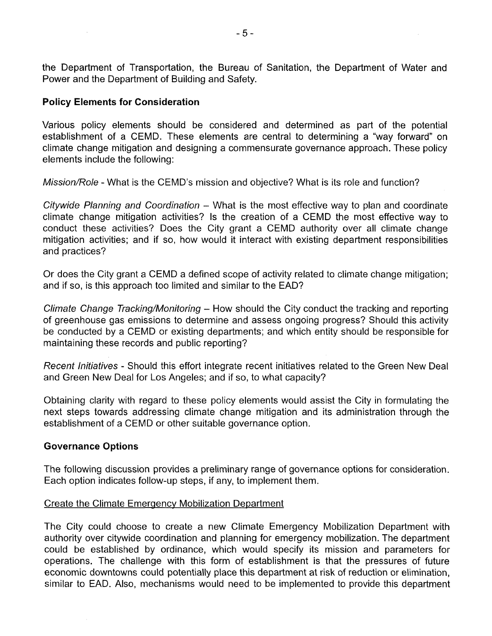the Department of Transportation, the Bureau of Sanitation, the Department of Water and Power and the Department of Building and Safety.

### **Policy Elements for Consideration**

Various policy elements should be considered and determined as part of the potential establishment of a CEMD. These elements are central to determining a "way forward" on climate change mitigation and designing a commensurate governance approach. These policy elements include the following:

*Mission/Role -* What is the CEMD's mission and objective? What is its role and function?

*Citywide Planning and Coordination -* What is the most effective way to plan and coordinate climate change mitigation activities? Is the creation of a CEMD the most effective way to conduct these activities? Does the City grant a CEMD authority over all climate change mitigation activities; and if so, how would it interact with existing department responsibilities and practices?

Or does the City grant a CEMD a defined scope of activity related to climate change mitigation; and if so, is this approach too limited and similar to the EAD?

*Climate Change Tracking/Monitoring* - How should the City conduct the tracking and reporting of greenhouse gas emissions to determine and assess ongoing progress? Should this activity be conducted by a CEMD or existing departments; and which entity should be responsible for maintaining these records and public reporting?

*Recent Initiatives* - Should this effort integrate recent initiatives related to the Green New Deal and Green New Deal for Los Angeles; and if so, to what capacity?

Obtaining clarity with regard to these policy elements would assist the City in formulating the next steps towards addressing climate change mitigation and its administration through the establishment of a CEMD or other suitable governance option.

### **Governance Options**

The following discussion provides a preliminary range of governance options for consideration. Each option indicates follow-up steps, if any, to implement them.

### Create the Climate Emergency Mobilization Department

The City could choose to create a new Climate Emergency Mobilization Department with authority over citywide coordination and planning for emergency mobilization. The department could be established by ordinance, which would specify its mission and parameters for operations. The challenge with this form of establishment is that the pressures of future economic downtowns could potentially place this department at risk of reduction or elimination, similar to EAD. Also, mechanisms would need to be implemented to provide this department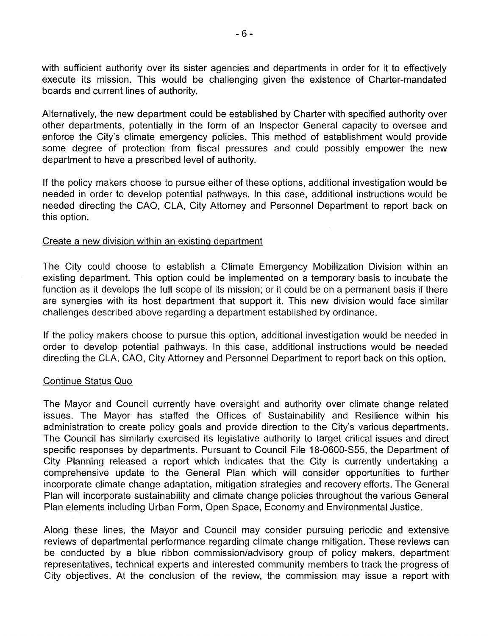with sufficient authority over its sister agencies and departments in order for it to effectively execute its mission. This would be challenging given the existence of Charter-mandated boards and current lines of authority.

Alternatively, the new department could be established by Charter with specified authority over other departments, potentially in the form of an Inspector General capacity to oversee and enforce the City's climate emergency policies. This method of establishment would provide some degree of protection from fiscal pressures and could possibly empower the new department to have a prescribed level of authority.

If the policy makers choose to pursue either of these options, additional investigation would be needed in order to develop potential pathways. In this case, additional instructions would be needed directing the CAO, CLA, City Attorney and Personnel Department to report back on this option.

### Create a new division within an existing department

The City could choose to establish a Climate Emergency Mobilization Division within an existing department. This option could be implemented on a temporary basis to incubate the function as it develops the full scope of its mission; or it could be on a permanent basis if there are synergies with its host department that support it. This new division would face similar challenges described above regarding a department established by ordinance.

If the policy makers choose to pursue this option, additional investigation would be needed in order to develop potential pathways. In this case, additional instructions would be needed directing the CLA, CAO, City Attorney and Personnel Department to report back on this option.

### Continue Status Quo

The Mayor and Council currently have oversight and authority over climate change related issues. The Mayor has staffed the Offices of Sustainability and Resilience within his administration to create policy goals and provide direction to the City's various departments. The Council has similarly exercised its legislative authority to target critical issues and direct specific responses by departments. Pursuant to Council File 18-0600-S55, the Department of City Planning released a report which indicates that the City is currently undertaking a comprehensive update to the General Plan which will consider opportunities to further incorporate climate change adaptation, mitigation strategies and recovery efforts. The General Plan will incorporate sustainability and climate change policies throughout the various General Plan elements including Urban Form, Open Space, Economy and Environmental Justice.

Along these lines, the Mayor and Council may consider pursuing periodic and extensive reviews of departmental performance regarding climate change mitigation. These reviews can be conducted by a blue ribbon commission/advisory group of policy makers, department representatives, technical experts and interested community members to track the progress of City objectives. At the conclusion of the review, the commission may issue a report with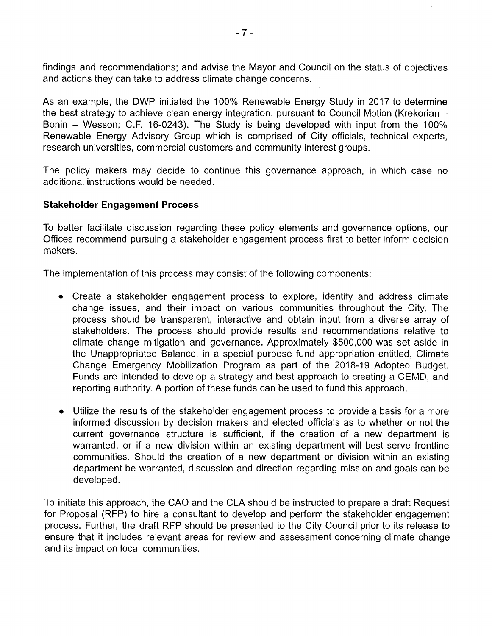findings and recommendations; and advise the Mayor and Council on the status of objectives and actions they can take to address climate change concerns.

As an example, the DWP initiated the 100% Renewable Energy Study in 2017 to determine the best strategy to achieve clean energy integration, pursuant to Council Motion (Krekorian – Bonin - Wesson; C.F. 16-0243). The Study is being developed with input from the 100% Renewable Energy Advisory Group which is comprised of City officials, technical experts, research universities, commercial customers and community interest groups.

The policy makers may decide to continue this governance approach, in which case no additional instructions would be needed.

## **Stakeholder Engagement Process**

To better facilitate discussion regarding these policy elements and governance options, our Offices recommend pursuing a stakeholder engagement process first to better inform decision makers.

The implementation of this process may consist of the following components:

- Create a stakeholder engagement process to explore, identify and address climate change issues, and their impact on various communities throughout the City. The process should be transparent, interactive and obtain input from a diverse array of stakeholders. The process should provide results and recommendations relative to climate change mitigation and governance. Approximately \$500,000 was set aside in the Unappropriated Balance, in a special purpose fund appropriation entitled, Climate Change Emergency Mobilization Program as part of the 2018-19 Adopted Budget. Funds are intended to develop a strategy and best approach to creating a CEMD, and reporting authority. A portion of these funds can be used to fund this approach.
- Utilize the results of the stakeholder engagement process to provide a basis for a more informed discussion by decision makers and elected officials as to whether or not the current governance structure is sufficient, if the creation of a new department is warranted, or if a new division within an existing department will best serve frontline communities. Should the creation of a new department or division within an existing department be warranted, discussion and direction regarding mission and goals can be developed.

To initiate this approach, the CAO and the CLA should be instructed to prepare a draft Request for Proposal (RFP) to hire a consultant to develop and perform the stakeholder engagement process. Further, the draft RFP should be presented to the City Council prior to its release to ensure that it includes relevant areas for review and assessment concerning climate change and its impact on local communities.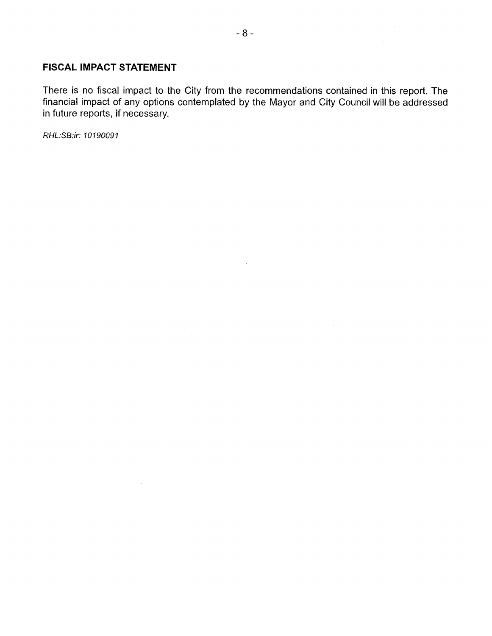### **FISCAL IMPACT STATEMENT**

There is no fiscal impact to the City from the recommendations contained in this report. The financial impact of any options contemplated by the Mayor and City Council will be addressed in future reports, if necessary.

 $\sim 10^{-11}$ 

 $\sim$ 

*RHL:SB:ir: 10190091*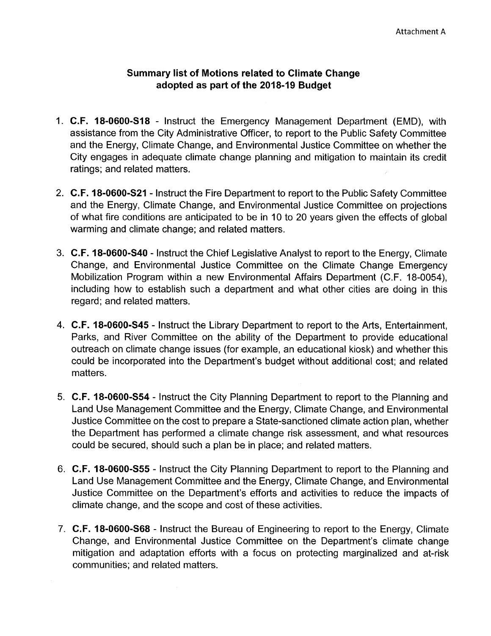## **Summary list of Motions related to Climate Change adopted as part of the 2018-19 Budget**

- 1. **C.F. 18-0600-S18** Instruct the Emergency Management Department (EMD), with assistance from the City Administrative Officer, to report to the Public Safety Committee and the Energy, Climate Change, and Environmental Justice Committee on whether the City engages in adequate climate change planning and mitigation to maintain its credit ratings; and related matters.
- 2. **C.F. 18-0600-S21** Instruct the Fire Department to report to the Public Safety Committee and the Energy, Climate Change, and Environmental Justice Committee on projections of what fire conditions are anticipated to be in 10 to 20 years given the effects of global warming and climate change; and related matters.
- 3. **C.F. 18-0600-S40** Instruct the Chief Legislative Analyst to report to the Energy, Climate Change, and Environmental Justice Committee on the Climate Change Emergency Mobilization Program within a new Environmental Affairs Department (C.F. 18-0054), including how to establish such a department and what other cities are doing in this regard; and related matters.
- 4. **C.F. 18-0600-S45** Instruct the Library Department to report to the Arts, Entertainment, Parks, and River Committee on the ability of the Department to provide educational outreach on climate change issues (for example, an educational kiosk) and whether this could be incorporated into the Department's budget without additional cost; and related matters.
- 5. **C.F. 18-0600-S54** Instruct the City Planning Department to report to the Planning and Land Use Management Committee and the Energy, Climate Change, and Environmental Justice Committee on the cost to prepare a State-sanctioned climate action plan, whether the Department has performed a climate change risk assessment, and what resources could be secured, should such a plan be in place; and related matters.
- 6. **C.F. 18-0600-S55** Instruct the City Planning Department to report to the Planning and Land Use Management Committee and the Energy, Climate Change, and Environmental Justice Committee on the Department's efforts and activities to reduce the impacts of climate change, and the scope and cost of these activities.
- 7. **C.F. 18-0600-S68** Instruct the Bureau of Engineering to report to the Energy, Climate Change, and Environmental Justice Committee on the Department's climate change mitigation and adaptation efforts with a focus on protecting marginalized and at-risk communities; and related matters.